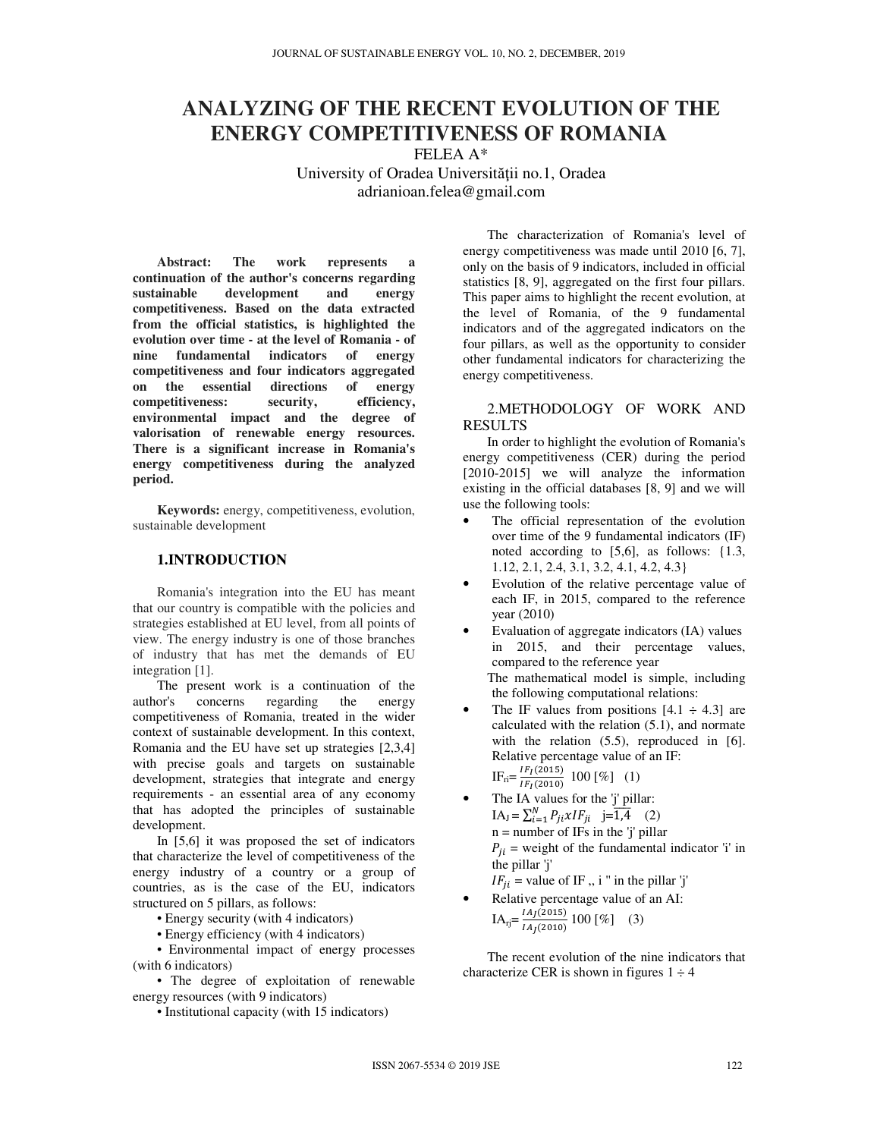## **ANALYZING OF THE RECENT EVOLUTION OF THE ENERGY COMPETITIVENESS OF ROMANIA**

FELEA A\* University of Oradea Universităţii no.1, Oradea adrianioan.felea@gmail.com

**Abstract: The work represents a continuation of the author's concerns regarding sustainable development and energy competitiveness. Based on the data extracted from the official statistics, is highlighted the evolution over time - at the level of Romania - of nine fundamental indicators of energy competitiveness and four indicators aggregated on the essential directions of energy competitiveness: security, efficiency, environmental impact and the degree of valorisation of renewable energy resources. There is a significant increase in Romania's energy competitiveness during the analyzed period.** 

**Keywords:** energy, competitiveness, evolution, sustainable development

## **1.INTRODUCTION**

Romania's integration into the EU has meant that our country is compatible with the policies and strategies established at EU level, from all points of view. The energy industry is one of those branches of industry that has met the demands of EU integration [1].

The present work is a continuation of the author's concerns regarding the energy competitiveness of Romania, treated in the wider context of sustainable development. In this context, Romania and the EU have set up strategies [2,3,4] with precise goals and targets on sustainable development, strategies that integrate and energy requirements - an essential area of any economy that has adopted the principles of sustainable development.

In [5,6] it was proposed the set of indicators that characterize the level of competitiveness of the energy industry of a country or a group of countries, as is the case of the EU, indicators structured on 5 pillars, as follows:

• Energy security (with 4 indicators)

• Energy efficiency (with 4 indicators)

• Environmental impact of energy processes (with 6 indicators)

• The degree of exploitation of renewable energy resources (with 9 indicators)

• Institutional capacity (with 15 indicators)

The characterization of Romania's level of energy competitiveness was made until 2010 [6, 7]. only on the basis of 9 indicators, included in official statistics [8, 9], aggregated on the first four pillars. This paper aims to highlight the recent evolution, at the level of Romania, of the 9 fundamental indicators and of the aggregated indicators on the four pillars, as well as the opportunity to consider other fundamental indicators for characterizing the energy competitiveness.

## 2.METHODOLOGY OF WORK AND RESULTS

In order to highlight the evolution of Romania's energy competitiveness (CER) during the period [2010-2015] we will analyze the information existing in the official databases [8, 9] and we will use the following tools:

- The official representation of the evolution over time of the 9 fundamental indicators (IF) noted according to [5,6], as follows: {1.3, 1.12, 2.1, 2.4, 3.1, 3.2, 4.1, 4.2, 4.3}
- Evolution of the relative percentage value of each IF, in 2015, compared to the reference year (2010)
- Evaluation of aggregate indicators (IA) values in 2015, and their percentage values, compared to the reference year The mathematical model is simple, including the following computational relations:
- The IF values from positions  $[4.1 \div 4.3]$  are calculated with the relation (5.1), and normate with the relation  $(5.5)$ , reproduced in [6]. Relative percentage value of an IF:  $IF_{\text{ri}} = \frac{IF_{I}(2015)}{IF_{I}(2010)}$  $\frac{H_1(2010)}{H_1(2010)}$  100 [%] (1)
- The IA values for the 'j' pillar:  $IA_J = \sum_{i=1}^{N} P_{ji} x I F_{ji}$   $j = \overline{1,4}$  (2)  $n =$  number of IFs in the 'j' pillar  $P_{ii}$  = weight of the fundamental indicator 'i' in the pillar 'j'

 $IF_{ii}$  = value of IF, i " in the pillar 'j'

• Relative percentage value of an AI:  $IA_{rj} = \frac{IA_{J}(2015)}{IA_{J}(2010)}$  $\frac{1}{(14)(2010)}$  100 [%] (3)

The recent evolution of the nine indicators that characterize CER is shown in figures  $1 \div 4$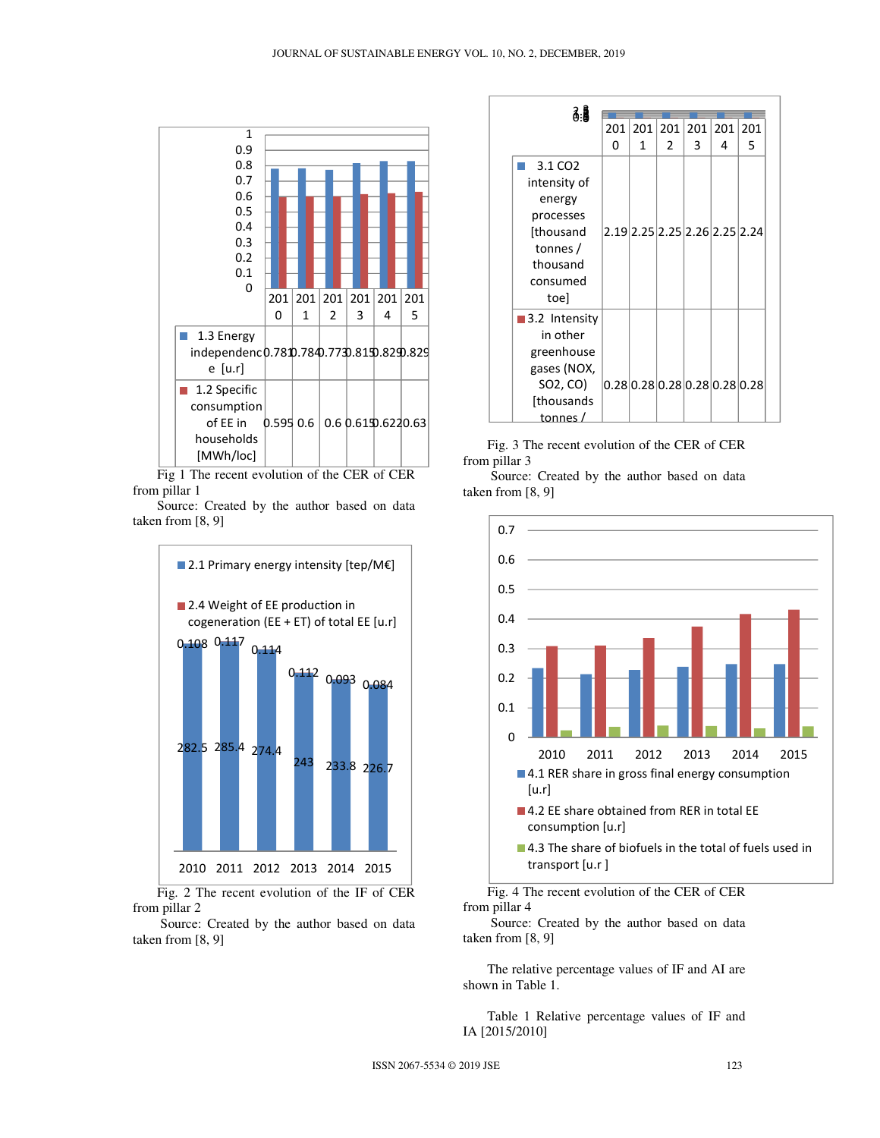

Fig 1 The recent evolution of the CER of CER from pillar 1

Source: Created by the author based on data taken from [8, 9]



Fig. 2 The recent evolution of the IF of CER from pillar 2

 Source: Created by the author based on data taken from [8, 9]



Fig. 3 The recent evolution of the CER of CER from pillar 3

 Source: Created by the author based on data taken from [8, 9]



Fig. 4 The recent evolution of the CER of CER from pillar 4

 Source: Created by the author based on data taken from [8, 9]

The relative percentage values of IF and AI are shown in Table 1.

Table 1 Relative percentage values of IF and IA [2015/2010]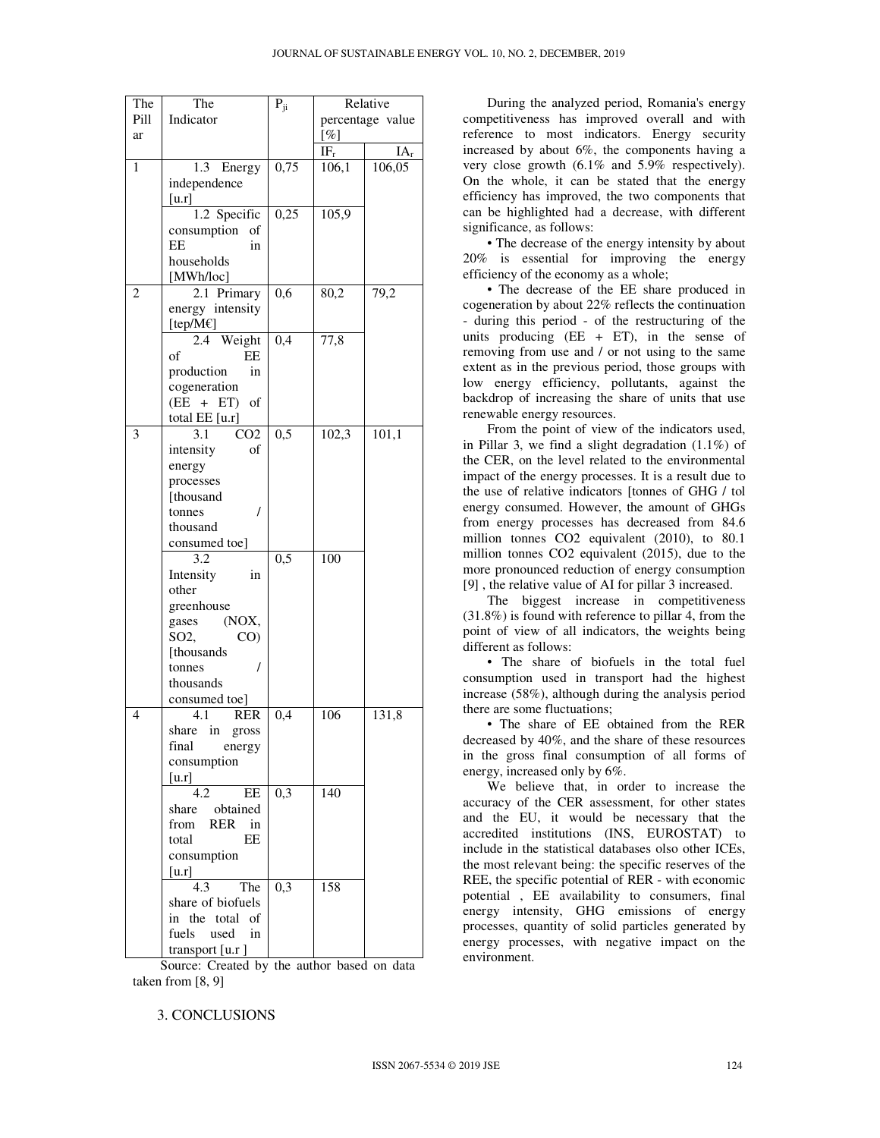| The            | The                    | $\mathbf{P}_{\mathrm{ji}}$ | Relative                    |        |  |
|----------------|------------------------|----------------------------|-----------------------------|--------|--|
| Pill           | Indicator              |                            | percentage value            |        |  |
| ar             |                        |                            | $[\%]$                      |        |  |
|                |                        |                            | $\overline{\rm IF}_{\rm r}$ | $IA_r$ |  |
| $\mathbf{1}$   | 1.3<br>Energy          | 0,75                       | 106,1                       | 106,05 |  |
|                |                        |                            |                             |        |  |
|                | independence           |                            |                             |        |  |
|                | [u,r]                  |                            |                             |        |  |
|                | 1.2 Specific           | 0,25                       | 105,9                       |        |  |
|                | consumption<br>of      |                            |                             |        |  |
|                | EЕ<br>in               |                            |                             |        |  |
|                | households             |                            |                             |        |  |
|                | [MWh/loc]              |                            |                             |        |  |
| $\overline{c}$ | 2.1 Primary            | 0,6                        | 80,2                        | 79,2   |  |
|                | energy intensity       |                            |                             |        |  |
|                | [tep/M€]               |                            |                             |        |  |
|                | Weight<br>2.4          | 0,4                        | 77,8                        |        |  |
|                | EE<br>of               |                            |                             |        |  |
|                | production<br>in       |                            |                             |        |  |
|                | cogeneration           |                            |                             |        |  |
|                | $(EE + ET)$<br>of      |                            |                             |        |  |
|                | total EE [u.r]         |                            |                             |        |  |
| 3              | 3.1<br>CO <sub>2</sub> | $\overline{0,5}$           | 102,3                       | 101,1  |  |
|                | intensity<br>of        |                            |                             |        |  |
|                | energy                 |                            |                             |        |  |
|                | processes              |                            |                             |        |  |
|                | [thousand              |                            |                             |        |  |
|                | I<br>tonnes            |                            |                             |        |  |
|                | thousand               |                            |                             |        |  |
|                |                        |                            |                             |        |  |
|                | consumed toe]          |                            |                             |        |  |
|                | 3.2                    | $\overline{0,5}$           | 100                         |        |  |
|                | Intensity<br>in        |                            |                             |        |  |
|                | other                  |                            |                             |        |  |
|                | greenhouse             |                            |                             |        |  |
|                | (NOX,<br>gases         |                            |                             |        |  |
|                | SO2,<br>CO)            |                            |                             |        |  |
|                | [thousands]            |                            |                             |        |  |
|                | tonnes                 |                            |                             |        |  |
|                | thousands              |                            |                             |        |  |
|                | consumed toe]          |                            |                             |        |  |
| 4              | 4.1<br><b>RER</b>      | 0,4                        | 106                         | 131,8  |  |
|                | share in<br>gross      |                            |                             |        |  |
|                | final<br>energy        |                            |                             |        |  |
|                | consumption            |                            |                             |        |  |
|                | [u.r]                  |                            |                             |        |  |
|                | $\overline{EE}$<br>4.2 | 0,3                        | 140                         |        |  |
|                | share obtained         |                            |                             |        |  |
|                | from<br>RER<br>in      |                            |                             |        |  |
|                | total<br>ЕE            |                            |                             |        |  |
|                | consumption            |                            |                             |        |  |
|                | $\lceil u.r \rceil$    |                            |                             |        |  |
|                | 4.3<br>The             | 0,3                        | 158                         |        |  |
|                | share of biofuels      |                            |                             |        |  |
|                | in the total of        |                            |                             |        |  |
|                | fuels<br>used<br>in    |                            |                             |        |  |
|                |                        |                            |                             |        |  |
|                | transport [u.r]        |                            |                             |        |  |

 Source: Created by the author based on data taken from [8, 9]

3. CONCLUSIONS

During the analyzed period, Romania's energy competitiveness has improved overall and with reference to most indicators. Energy security increased by about 6%, the components having a very close growth (6.1% and 5.9% respectively). On the whole, it can be stated that the energy efficiency has improved, the two components that can be highlighted had a decrease, with different significance, as follows:

• The decrease of the energy intensity by about 20% is essential for improving the energy efficiency of the economy as a whole;

• The decrease of the EE share produced in cogeneration by about 22% reflects the continuation - during this period - of the restructuring of the units producing  $(EE + ET)$ , in the sense of removing from use and / or not using to the same extent as in the previous period, those groups with low energy efficiency, pollutants, against the backdrop of increasing the share of units that use renewable energy resources.

From the point of view of the indicators used, in Pillar 3, we find a slight degradation (1.1%) of the CER, on the level related to the environmental impact of the energy processes. It is a result due to the use of relative indicators [tonnes of GHG / tol energy consumed. However, the amount of GHGs from energy processes has decreased from 84.6 million tonnes CO2 equivalent (2010), to 80.1 million tonnes CO2 equivalent (2015), due to the more pronounced reduction of energy consumption [9] , the relative value of AI for pillar 3 increased.

The biggest increase in competitiveness (31.8%) is found with reference to pillar 4, from the point of view of all indicators, the weights being different as follows:

• The share of biofuels in the total fuel consumption used in transport had the highest increase (58%), although during the analysis period there are some fluctuations;

• The share of EE obtained from the RER decreased by 40%, and the share of these resources in the gross final consumption of all forms of energy, increased only by 6%.

We believe that, in order to increase the accuracy of the CER assessment, for other states and the EU, it would be necessary that the accredited institutions (INS, EUROSTAT) to include in the statistical databases olso other ICEs, the most relevant being: the specific reserves of the REE, the specific potential of RER - with economic potential , EE availability to consumers, final energy intensity, GHG emissions of energy processes, quantity of solid particles generated by energy processes, with negative impact on the environment.